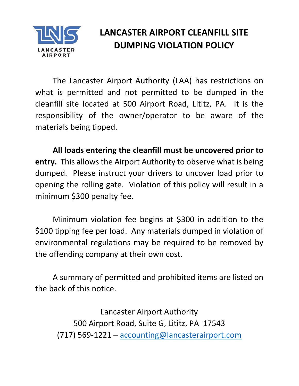

# LANCASTER AIRPORT CLEANFILL SITE DUMPING VIOLATION POLICY

The Lancaster Airport Authority (LAA) has restrictions on what is permitted and not permitted to be dumped in the cleanfill site located at 500 Airport Road, Lititz, PA. It is the responsibility of the owner/operator to be aware of the materials being tipped.

All loads entering the cleanfill must be uncovered prior to entry. This allows the Airport Authority to observe what is being dumped. Please instruct your drivers to uncover load prior to opening the rolling gate. Violation of this policy will result in a minimum \$300 penalty fee.

Minimum violation fee begins at \$300 in addition to the \$100 tipping fee per load. Any materials dumped in violation of environmental regulations may be required to be removed by the offending company at their own cost.

A summary of permitted and prohibited items are listed on the back of this notice.

Lancaster Airport Authority 500 Airport Road, Suite G, Lititz, PA 17543 (717) 569-1221 – accounting@lancasterairport.com